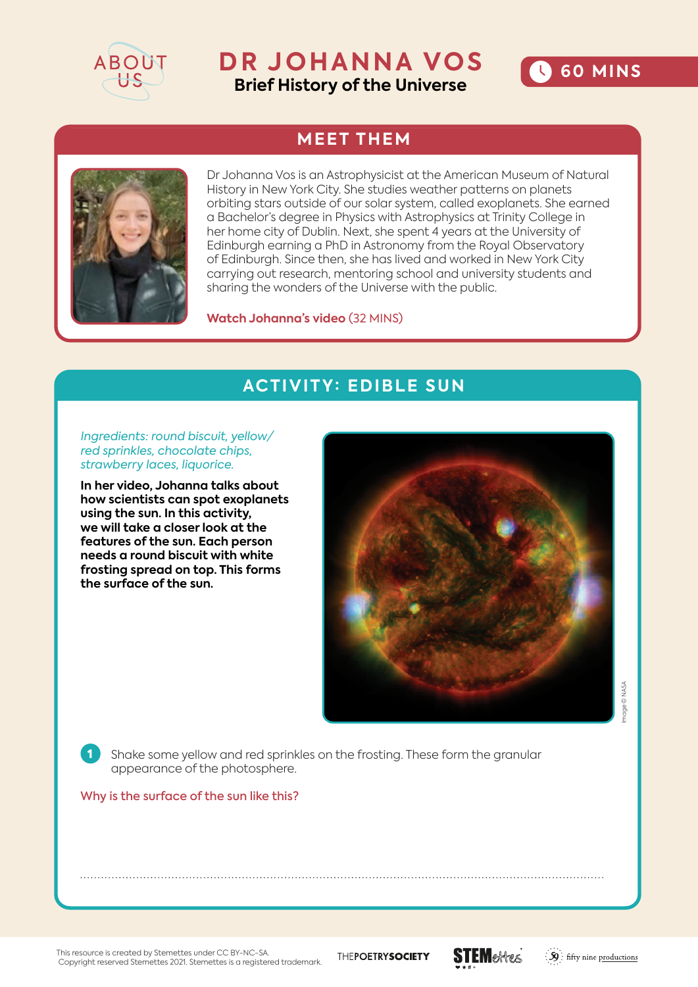

# **DR JOHANNA VOS Brief History of the Universe**



## **MEET THEM**



Dr Johanna Vos is an Astrophysicist at the American Museum of Natural History in New York City. She studies weather patterns on planets orbiting stars outside of our solar system, called exoplanets. She earned a Bachelor's degree in Physics with Astrophysics at Trinity College in her home city of Dublin. Next, she spent 4 years at the University of Edinburgh earning a PhD in Astronomy from the Royal Observatory of Edinburgh. Since then, she has lived and worked in New York City carrying out research, mentoring school and university students and sharing the wonders of the Universe with the public.

**Watch Johanna's video** (32 MINS)

### **ACTIVITY: EDIBLE SUN**

*Ingredients: round biscuit, yellow/ red sprinkles, chocolate chips, strawberry laces, liquorice.* 

**In her video, Johanna talks about how scientists can spot exoplanets using the sun. In this activity, we will take a closer look at the features of the sun. Each person needs a round biscuit with white frosting spread on top. This forms the surface of the sun.** 



age © NASA Image © NASA

1 Shake some yellow and red sprinkles on the frosting. These form the granular appearance of the photosphere.

#### Why is the surface of the sun like this?

This resource is created by Stemettes under CC BY-NC-SA. Copyright reserved Stemettes 2021. Stemettes is a registered trademark. THEPOETRYSOCIETY